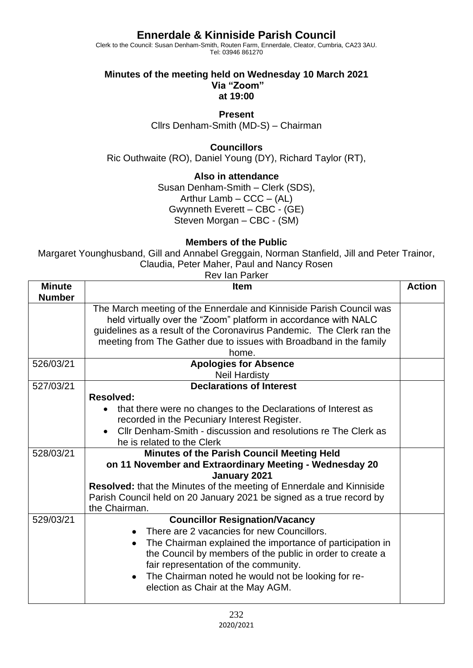## **Ennerdale & Kinniside Parish Council**

Clerk to the Council: Susan Denham-Smith, Routen Farm, Ennerdale, Cleator, Cumbria, CA23 3AU. Tel: 03946 861270

#### **Minutes of the meeting held on Wednesday 10 March 2021 Via "Zoom" at 19:00**

#### **Present**

Cllrs Denham-Smith (MD-S) – Chairman

## **Councillors**

Ric Outhwaite (RO), Daniel Young (DY), Richard Taylor (RT),

## **Also in attendance**

Susan Denham-Smith – Clerk (SDS), Arthur Lamb –  $CCC - (AL)$ Gwynneth Everett - CBC - (GE) Steven Morgan – CBC - (SM)

### **Members of the Public**

Margaret Younghusband, Gill and Annabel Greggain, Norman Stanfield, Jill and Peter Trainor, Claudia, Peter Maher, Paul and Nancy Rosen

| <b>Rev lan Parker</b>          |                                                                                                                                                                                                                                                                                                                                                                             |               |  |
|--------------------------------|-----------------------------------------------------------------------------------------------------------------------------------------------------------------------------------------------------------------------------------------------------------------------------------------------------------------------------------------------------------------------------|---------------|--|
| <b>Minute</b><br><b>Number</b> | <b>Item</b>                                                                                                                                                                                                                                                                                                                                                                 | <b>Action</b> |  |
|                                | The March meeting of the Ennerdale and Kinniside Parish Council was<br>held virtually over the "Zoom" platform in accordance with NALC<br>guidelines as a result of the Coronavirus Pandemic. The Clerk ran the<br>meeting from The Gather due to issues with Broadband in the family<br>home.                                                                              |               |  |
| 526/03/21                      | <b>Apologies for Absence</b><br><b>Neil Hardisty</b>                                                                                                                                                                                                                                                                                                                        |               |  |
| 527/03/21                      | <b>Declarations of Interest</b><br><b>Resolved:</b><br>that there were no changes to the Declarations of Interest as                                                                                                                                                                                                                                                        |               |  |
|                                | recorded in the Pecuniary Interest Register.<br>Cllr Denham-Smith - discussion and resolutions re The Clerk as<br>he is related to the Clerk                                                                                                                                                                                                                                |               |  |
| 528/03/21                      | Minutes of the Parish Council Meeting Held<br>on 11 November and Extraordinary Meeting - Wednesday 20<br>January 2021<br>Resolved: that the Minutes of the meeting of Ennerdale and Kinniside<br>Parish Council held on 20 January 2021 be signed as a true record by<br>the Chairman.                                                                                      |               |  |
| 529/03/21                      | <b>Councillor Resignation/Vacancy</b><br>There are 2 vacancies for new Councillors.<br>The Chairman explained the importance of participation in<br>$\bullet$<br>the Council by members of the public in order to create a<br>fair representation of the community.<br>The Chairman noted he would not be looking for re-<br>$\bullet$<br>election as Chair at the May AGM. |               |  |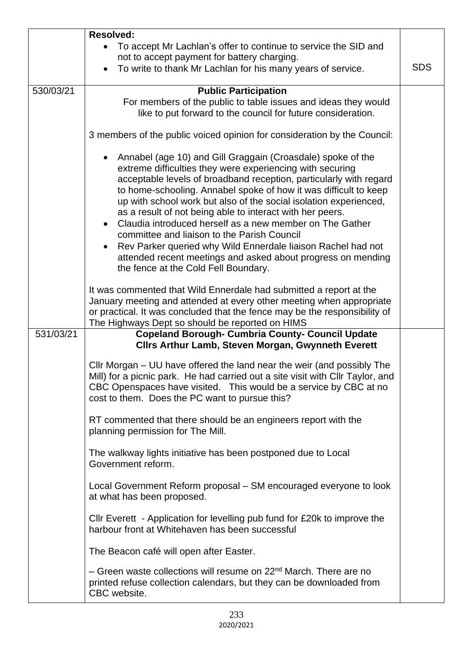|           | <b>Resolved:</b>                                                                                                                                                                                                                                                                                                                                                                                                                                                                                                                                                                                                                                                                        |            |  |  |  |
|-----------|-----------------------------------------------------------------------------------------------------------------------------------------------------------------------------------------------------------------------------------------------------------------------------------------------------------------------------------------------------------------------------------------------------------------------------------------------------------------------------------------------------------------------------------------------------------------------------------------------------------------------------------------------------------------------------------------|------------|--|--|--|
|           | • To accept Mr Lachlan's offer to continue to service the SID and<br>not to accept payment for battery charging.<br>To write to thank Mr Lachlan for his many years of service.                                                                                                                                                                                                                                                                                                                                                                                                                                                                                                         | <b>SDS</b> |  |  |  |
| 530/03/21 | <b>Public Participation</b>                                                                                                                                                                                                                                                                                                                                                                                                                                                                                                                                                                                                                                                             |            |  |  |  |
|           | For members of the public to table issues and ideas they would<br>like to put forward to the council for future consideration.                                                                                                                                                                                                                                                                                                                                                                                                                                                                                                                                                          |            |  |  |  |
|           | 3 members of the public voiced opinion for consideration by the Council:                                                                                                                                                                                                                                                                                                                                                                                                                                                                                                                                                                                                                |            |  |  |  |
|           | Annabel (age 10) and Gill Graggain (Croasdale) spoke of the<br>extreme difficulties they were experiencing with securing<br>acceptable levels of broadband reception, particularly with regard<br>to home-schooling. Annabel spoke of how it was difficult to keep<br>up with school work but also of the social isolation experienced,<br>as a result of not being able to interact with her peers.<br>Claudia introduced herself as a new member on The Gather<br>committee and liaison to the Parish Council<br>Rev Parker queried why Wild Ennerdale liaison Rachel had not<br>attended recent meetings and asked about progress on mending<br>the fence at the Cold Fell Boundary. |            |  |  |  |
|           | It was commented that Wild Ennerdale had submitted a report at the<br>January meeting and attended at every other meeting when appropriate<br>or practical. It was concluded that the fence may be the responsibility of<br>The Highways Dept so should be reported on HIMS                                                                                                                                                                                                                                                                                                                                                                                                             |            |  |  |  |
| 531/03/21 | <b>Copeland Borough- Cumbria County- Council Update</b>                                                                                                                                                                                                                                                                                                                                                                                                                                                                                                                                                                                                                                 |            |  |  |  |
|           | <b>Clirs Arthur Lamb, Steven Morgan, Gwynneth Everett</b>                                                                                                                                                                                                                                                                                                                                                                                                                                                                                                                                                                                                                               |            |  |  |  |
|           | Cllr Morgan – UU have offered the land near the weir (and possibly The<br>Mill) for a picnic park. He had carried out a site visit with Cllr Taylor, and<br>CBC Openspaces have visited. This would be a service by CBC at no<br>cost to them. Does the PC want to pursue this?                                                                                                                                                                                                                                                                                                                                                                                                         |            |  |  |  |
|           | RT commented that there should be an engineers report with the<br>planning permission for The Mill.                                                                                                                                                                                                                                                                                                                                                                                                                                                                                                                                                                                     |            |  |  |  |
|           | The walkway lights initiative has been postponed due to Local<br>Government reform.                                                                                                                                                                                                                                                                                                                                                                                                                                                                                                                                                                                                     |            |  |  |  |
|           | Local Government Reform proposal – SM encouraged everyone to look<br>at what has been proposed.                                                                                                                                                                                                                                                                                                                                                                                                                                                                                                                                                                                         |            |  |  |  |
|           | Cllr Everett - Application for levelling pub fund for £20k to improve the<br>harbour front at Whitehaven has been successful                                                                                                                                                                                                                                                                                                                                                                                                                                                                                                                                                            |            |  |  |  |
|           | The Beacon café will open after Easter.                                                                                                                                                                                                                                                                                                                                                                                                                                                                                                                                                                                                                                                 |            |  |  |  |
|           | - Green waste collections will resume on 22 <sup>nd</sup> March. There are no<br>printed refuse collection calendars, but they can be downloaded from<br>CBC website.                                                                                                                                                                                                                                                                                                                                                                                                                                                                                                                   |            |  |  |  |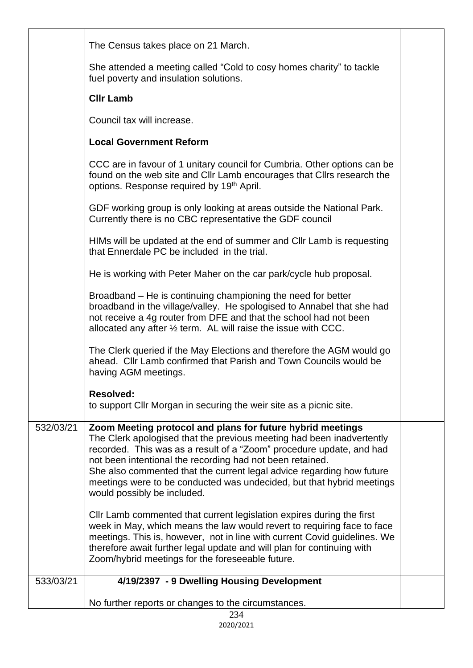|           | The Census takes place on 21 March.                                                                                                                                                                                                                                                                                                                                                                                                                       |  |
|-----------|-----------------------------------------------------------------------------------------------------------------------------------------------------------------------------------------------------------------------------------------------------------------------------------------------------------------------------------------------------------------------------------------------------------------------------------------------------------|--|
|           | She attended a meeting called "Cold to cosy homes charity" to tackle<br>fuel poverty and insulation solutions.                                                                                                                                                                                                                                                                                                                                            |  |
|           | <b>CIIr Lamb</b>                                                                                                                                                                                                                                                                                                                                                                                                                                          |  |
|           | Council tax will increase.                                                                                                                                                                                                                                                                                                                                                                                                                                |  |
|           | <b>Local Government Reform</b>                                                                                                                                                                                                                                                                                                                                                                                                                            |  |
|           | CCC are in favour of 1 unitary council for Cumbria. Other options can be<br>found on the web site and CIIr Lamb encourages that CIIrs research the<br>options. Response required by 19 <sup>th</sup> April.                                                                                                                                                                                                                                               |  |
|           | GDF working group is only looking at areas outside the National Park.<br>Currently there is no CBC representative the GDF council                                                                                                                                                                                                                                                                                                                         |  |
|           | HIMs will be updated at the end of summer and CIIr Lamb is requesting<br>that Ennerdale PC be included in the trial.                                                                                                                                                                                                                                                                                                                                      |  |
|           | He is working with Peter Maher on the car park/cycle hub proposal.                                                                                                                                                                                                                                                                                                                                                                                        |  |
|           | Broadband – He is continuing championing the need for better<br>broadband in the village/valley. He spologised to Annabel that she had<br>not receive a 4g router from DFE and that the school had not been<br>allocated any after 1/2 term. AL will raise the issue with CCC.                                                                                                                                                                            |  |
|           | The Clerk queried if the May Elections and therefore the AGM would go<br>ahead. Cllr Lamb confirmed that Parish and Town Councils would be<br>having AGM meetings.                                                                                                                                                                                                                                                                                        |  |
|           | <b>Resolved:</b><br>to support Cllr Morgan in securing the weir site as a picnic site.                                                                                                                                                                                                                                                                                                                                                                    |  |
| 532/03/21 | Zoom Meeting protocol and plans for future hybrid meetings<br>The Clerk apologised that the previous meeting had been inadvertently<br>recorded. This was as a result of a "Zoom" procedure update, and had<br>not been intentional the recording had not been retained.<br>She also commented that the current legal advice regarding how future<br>meetings were to be conducted was undecided, but that hybrid meetings<br>would possibly be included. |  |
|           | CIIr Lamb commented that current legislation expires during the first<br>week in May, which means the law would revert to requiring face to face<br>meetings. This is, however, not in line with current Covid guidelines. We<br>therefore await further legal update and will plan for continuing with<br>Zoom/hybrid meetings for the foreseeable future.                                                                                               |  |
| 533/03/21 | 4/19/2397 - 9 Dwelling Housing Development                                                                                                                                                                                                                                                                                                                                                                                                                |  |
|           | No further reports or changes to the circumstances.                                                                                                                                                                                                                                                                                                                                                                                                       |  |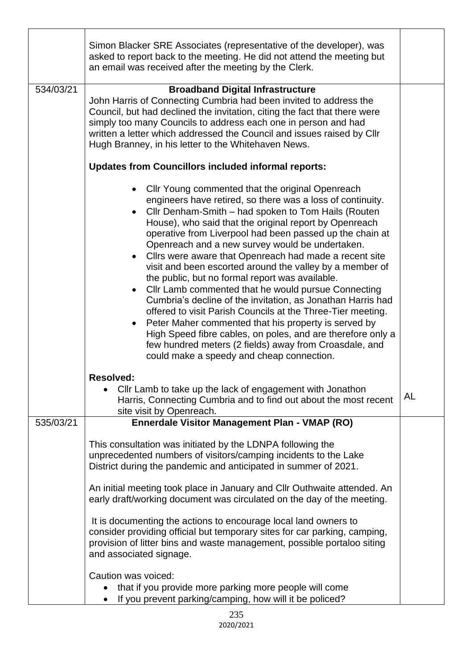|           | Simon Blacker SRE Associates (representative of the developer), was<br>asked to report back to the meeting. He did not attend the meeting but<br>an email was received after the meeting by the Clerk.                                                                                                                                                                                                                                                                                                                                                                                                                                                                                                                                                                                                                                                                                                                                     |           |  |  |  |  |
|-----------|--------------------------------------------------------------------------------------------------------------------------------------------------------------------------------------------------------------------------------------------------------------------------------------------------------------------------------------------------------------------------------------------------------------------------------------------------------------------------------------------------------------------------------------------------------------------------------------------------------------------------------------------------------------------------------------------------------------------------------------------------------------------------------------------------------------------------------------------------------------------------------------------------------------------------------------------|-----------|--|--|--|--|
| 534/03/21 | <b>Broadband Digital Infrastructure</b><br>John Harris of Connecting Cumbria had been invited to address the<br>Council, but had declined the invitation, citing the fact that there were<br>simply too many Councils to address each one in person and had<br>written a letter which addressed the Council and issues raised by Cllr<br>Hugh Branney, in his letter to the Whitehaven News.                                                                                                                                                                                                                                                                                                                                                                                                                                                                                                                                               |           |  |  |  |  |
|           | <b>Updates from Councillors included informal reports:</b>                                                                                                                                                                                                                                                                                                                                                                                                                                                                                                                                                                                                                                                                                                                                                                                                                                                                                 |           |  |  |  |  |
|           | Cllr Young commented that the original Openreach<br>engineers have retired, so there was a loss of continuity.<br>Cllr Denham-Smith - had spoken to Tom Hails (Routen<br>House), who said that the original report by Openreach<br>operative from Liverpool had been passed up the chain at<br>Openreach and a new survey would be undertaken.<br>Cllrs were aware that Openreach had made a recent site<br>visit and been escorted around the valley by a member of<br>the public, but no formal report was available.<br>Cllr Lamb commented that he would pursue Connecting<br>Cumbria's decline of the invitation, as Jonathan Harris had<br>offered to visit Parish Councils at the Three-Tier meeting.<br>Peter Maher commented that his property is served by<br>High Speed fibre cables, on poles, and are therefore only a<br>few hundred meters (2 fields) away from Croasdale, and<br>could make a speedy and cheap connection. |           |  |  |  |  |
|           | <b>Resolved:</b><br>Cllr Lamb to take up the lack of engagement with Jonathon<br>Harris, Connecting Cumbria and to find out about the most recent<br>site visit by Openreach.                                                                                                                                                                                                                                                                                                                                                                                                                                                                                                                                                                                                                                                                                                                                                              | <b>AL</b> |  |  |  |  |
| 535/03/21 | <b>Ennerdale Visitor Management Plan - VMAP (RO)</b>                                                                                                                                                                                                                                                                                                                                                                                                                                                                                                                                                                                                                                                                                                                                                                                                                                                                                       |           |  |  |  |  |
|           | This consultation was initiated by the LDNPA following the<br>unprecedented numbers of visitors/camping incidents to the Lake<br>District during the pandemic and anticipated in summer of 2021.<br>An initial meeting took place in January and Cllr Outhwaite attended. An                                                                                                                                                                                                                                                                                                                                                                                                                                                                                                                                                                                                                                                               |           |  |  |  |  |
|           | early draft/working document was circulated on the day of the meeting.                                                                                                                                                                                                                                                                                                                                                                                                                                                                                                                                                                                                                                                                                                                                                                                                                                                                     |           |  |  |  |  |
|           | It is documenting the actions to encourage local land owners to<br>consider providing official but temporary sites for car parking, camping,<br>provision of litter bins and waste management, possible portaloo siting<br>and associated signage.                                                                                                                                                                                                                                                                                                                                                                                                                                                                                                                                                                                                                                                                                         |           |  |  |  |  |
|           | Caution was voiced:<br>that if you provide more parking more people will come<br>If you prevent parking/camping, how will it be policed?                                                                                                                                                                                                                                                                                                                                                                                                                                                                                                                                                                                                                                                                                                                                                                                                   |           |  |  |  |  |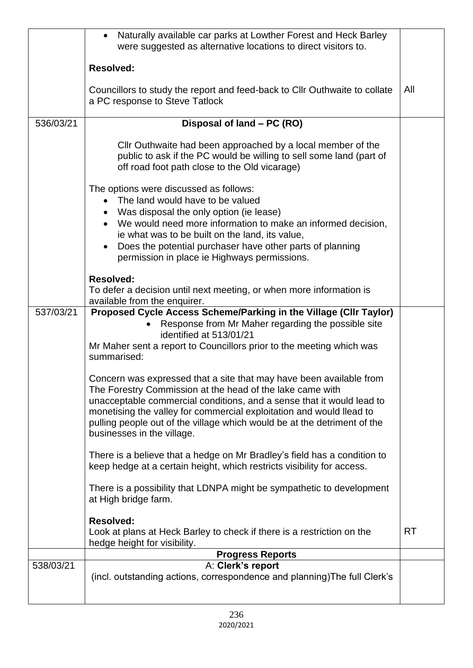|           | Naturally available car parks at Lowther Forest and Heck Barley<br>$\bullet$<br>were suggested as alternative locations to direct visitors to.                                                                                                                                                                                                                                              |           |
|-----------|---------------------------------------------------------------------------------------------------------------------------------------------------------------------------------------------------------------------------------------------------------------------------------------------------------------------------------------------------------------------------------------------|-----------|
|           | <b>Resolved:</b>                                                                                                                                                                                                                                                                                                                                                                            |           |
|           | Councillors to study the report and feed-back to Cllr Outhwaite to collate<br>a PC response to Steve Tatlock                                                                                                                                                                                                                                                                                | All       |
| 536/03/21 | Disposal of land - PC (RO)                                                                                                                                                                                                                                                                                                                                                                  |           |
|           | Cllr Outhwaite had been approached by a local member of the<br>public to ask if the PC would be willing to sell some land (part of<br>off road foot path close to the Old vicarage)                                                                                                                                                                                                         |           |
|           | The options were discussed as follows:<br>The land would have to be valued<br>Was disposal the only option (ie lease)<br>We would need more information to make an informed decision,<br>ie what was to be built on the land, its value,<br>Does the potential purchaser have other parts of planning<br>permission in place ie Highways permissions.                                       |           |
|           | <b>Resolved:</b><br>To defer a decision until next meeting, or when more information is<br>available from the enquirer.                                                                                                                                                                                                                                                                     |           |
| 537/03/21 | Proposed Cycle Access Scheme/Parking in the Village (CIIr Taylor)<br>Response from Mr Maher regarding the possible site<br>identified at 513/01/21<br>Mr Maher sent a report to Councillors prior to the meeting which was<br>summarised:                                                                                                                                                   |           |
|           | Concern was expressed that a site that may have been available from<br>The Forestry Commission at the head of the lake came with<br>unacceptable commercial conditions, and a sense that it would lead to<br>monetising the valley for commercial exploitation and would llead to<br>pulling people out of the village which would be at the detriment of the<br>businesses in the village. |           |
|           | There is a believe that a hedge on Mr Bradley's field has a condition to<br>keep hedge at a certain height, which restricts visibility for access.                                                                                                                                                                                                                                          |           |
|           | There is a possibility that LDNPA might be sympathetic to development<br>at High bridge farm.                                                                                                                                                                                                                                                                                               |           |
|           | <b>Resolved:</b><br>Look at plans at Heck Barley to check if there is a restriction on the<br>hedge height for visibility.                                                                                                                                                                                                                                                                  | <b>RT</b> |
|           | <b>Progress Reports</b>                                                                                                                                                                                                                                                                                                                                                                     |           |
| 538/03/21 | A: Clerk's report<br>(incl. outstanding actions, correspondence and planning) The full Clerk's                                                                                                                                                                                                                                                                                              |           |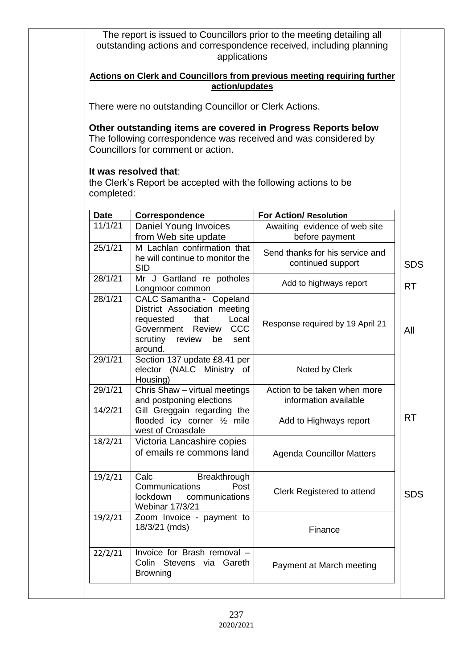|                        | action/updates                                                                                                                                                                                                                                                     | <b>Actions on Clerk and Councillors from previous meeting requiring further</b> |            |
|------------------------|--------------------------------------------------------------------------------------------------------------------------------------------------------------------------------------------------------------------------------------------------------------------|---------------------------------------------------------------------------------|------------|
|                        | There were no outstanding Councillor or Clerk Actions.                                                                                                                                                                                                             |                                                                                 |            |
| completed:             | Other outstanding items are covered in Progress Reports below<br>The following correspondence was received and was considered by<br>Councillors for comment or action.<br>It was resolved that:<br>the Clerk's Report be accepted with the following actions to be |                                                                                 |            |
|                        |                                                                                                                                                                                                                                                                    | <b>For Action/ Resolution</b>                                                   |            |
| <b>Date</b><br>11/1/21 | Correspondence<br>Daniel Young Invoices<br>from Web site update                                                                                                                                                                                                    | Awaiting evidence of web site<br>before payment                                 |            |
| 25/1/21                | M Lachlan confirmation that<br>he will continue to monitor the<br><b>SID</b>                                                                                                                                                                                       | Send thanks for his service and<br>continued support                            | <b>SDS</b> |
| 28/1/21                | Mr J Gartland re potholes<br>Longmoor common                                                                                                                                                                                                                       | Add to highways report                                                          | <b>RT</b>  |
| 28/1/21                | CALC Samantha - Copeland<br>District Association meeting<br>requested<br>that<br>Local<br><b>CCC</b><br>Government Review<br>scrutiny review<br>be<br>sent<br>around.                                                                                              | Response required by 19 April 21                                                | All        |
| 29/1/21                | Section 137 update £8.41 per<br>elector (NALC Ministry of<br>Housing)                                                                                                                                                                                              | Noted by Clerk                                                                  |            |
| 29/1/21                | Chris Shaw - virtual meetings<br>and postponing elections                                                                                                                                                                                                          | Action to be taken when more<br>information available                           |            |
| 14/2/21                | Gill Greggain regarding the<br>flooded icy corner 1/2 mile<br>west of Croasdale                                                                                                                                                                                    | Add to Highways report                                                          | <b>RT</b>  |
| 18/2/21                | Victoria Lancashire copies<br>of emails re commons land                                                                                                                                                                                                            | <b>Agenda Councillor Matters</b>                                                |            |
| 19/2/21                | Calc<br>Breakthrough<br>Communications<br>Post<br>lockdown communications<br><b>Webinar 17/3/21</b>                                                                                                                                                                | Clerk Registered to attend                                                      | <b>SDS</b> |
| 19/2/21                | Zoom Invoice - payment to<br>18/3/21 (mds)                                                                                                                                                                                                                         | Finance                                                                         |            |
| 22/2/21                | Invoice for Brash removal -<br>Colin Stevens via Gareth                                                                                                                                                                                                            | Payment at March meeting                                                        |            |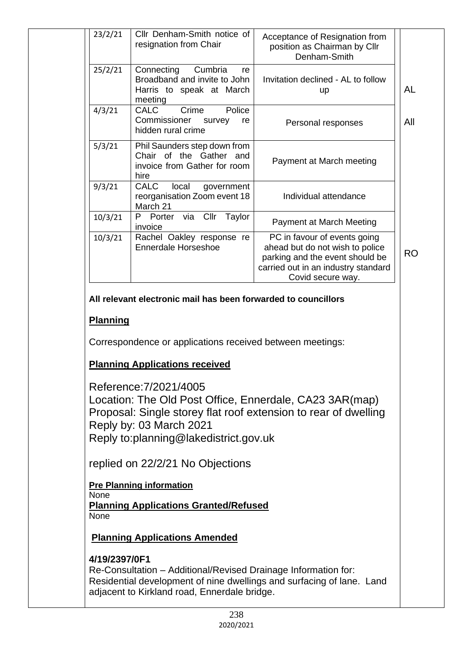| 25/2/21 | Connecting<br>Cumbria<br>re<br>Broadband and invite to John<br>Harris to speak at March         | Invitation declined - AL to follow                                                                                                                             |
|---------|-------------------------------------------------------------------------------------------------|----------------------------------------------------------------------------------------------------------------------------------------------------------------|
|         | meeting                                                                                         | <b>up</b>                                                                                                                                                      |
| 4/3/21  | Police<br>Crime<br><b>CALC</b><br>Commissioner<br>survey<br>re<br>hidden rural crime            | Personal responses                                                                                                                                             |
| 5/3/21  | Phil Saunders step down from<br>Chair of the Gather and<br>invoice from Gather for room<br>hire | Payment at March meeting                                                                                                                                       |
| 9/3/21  | <b>CALC</b><br>local<br>government<br>reorganisation Zoom event 18<br>March 21                  | Individual attendance                                                                                                                                          |
| 10/3/21 | via Cllr Taylor<br>P Porter<br>invoice                                                          | Payment at March Meeting                                                                                                                                       |
| 10/3/21 | Rachel Oakley response re<br><b>Ennerdale Horseshoe</b>                                         | PC in favour of events going<br>ahead but do not wish to police<br>parking and the event should be<br>carried out in an industry standard<br>Covid secure way. |

Reference:7/2021/4005 Location: The Old Post Office, Ennerdale, CA23 3AR(map) Proposal: Single storey flat roof extension to rear of dwelling Reply by: 03 March 2021 Reply to:planning@lakedistrict.gov.uk

replied on 22/2/21 No Objections

**Pre Planning information None Planning Applications Granted/Refused** None

**Planning Applications Amended**

# **4/19/2397/0F1**

Re-Consultation – Additional/Revised Drainage Information for: Residential development of nine dwellings and surfacing of lane. Land adjacent to Kirkland road, Ennerdale bridge.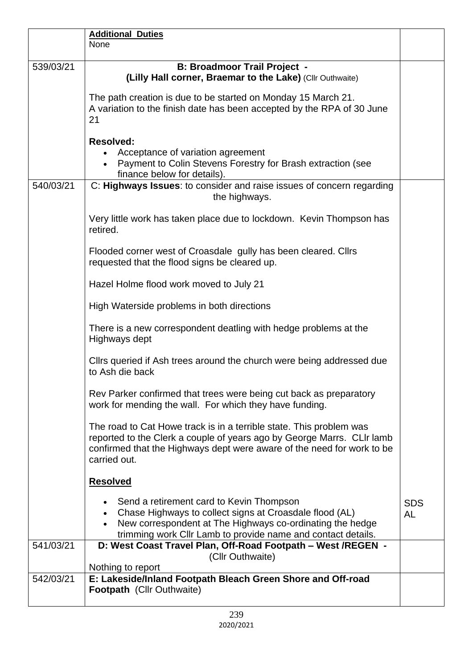|           | <b>Additional Duties</b><br>None                                                                                                                                                                                                        |                         |
|-----------|-----------------------------------------------------------------------------------------------------------------------------------------------------------------------------------------------------------------------------------------|-------------------------|
|           |                                                                                                                                                                                                                                         |                         |
| 539/03/21 | <b>B: Broadmoor Trail Project -</b><br>(Lilly Hall corner, Braemar to the Lake) (Cllr Outhwaite)                                                                                                                                        |                         |
|           | The path creation is due to be started on Monday 15 March 21.<br>A variation to the finish date has been accepted by the RPA of 30 June<br>21                                                                                           |                         |
|           | <b>Resolved:</b><br>Acceptance of variation agreement<br>Payment to Colin Stevens Forestry for Brash extraction (see<br>$\bullet$<br>finance below for details).                                                                        |                         |
| 540/03/21 | C: Highways Issues: to consider and raise issues of concern regarding<br>the highways.                                                                                                                                                  |                         |
|           | Very little work has taken place due to lockdown. Kevin Thompson has<br>retired.                                                                                                                                                        |                         |
|           | Flooded corner west of Croasdale gully has been cleared. Clirs<br>requested that the flood signs be cleared up.                                                                                                                         |                         |
|           | Hazel Holme flood work moved to July 21                                                                                                                                                                                                 |                         |
|           | High Waterside problems in both directions                                                                                                                                                                                              |                         |
|           | There is a new correspondent deatling with hedge problems at the<br>Highways dept                                                                                                                                                       |                         |
|           | Clirs queried if Ash trees around the church were being addressed due<br>to Ash die back                                                                                                                                                |                         |
|           | Rev Parker confirmed that trees were being cut back as preparatory<br>work for mending the wall. For which they have funding.                                                                                                           |                         |
|           | The road to Cat Howe track is in a terrible state. This problem was<br>reported to the Clerk a couple of years ago by George Marrs. CLIr lamb<br>confirmed that the Highways dept were aware of the need for work to be<br>carried out. |                         |
|           | <b>Resolved</b>                                                                                                                                                                                                                         |                         |
|           | Send a retirement card to Kevin Thompson<br>Chase Highways to collect signs at Croasdale flood (AL)<br>New correspondent at The Highways co-ordinating the hedge<br>trimming work Cllr Lamb to provide name and contact details.        | <b>SDS</b><br><b>AL</b> |
| 541/03/21 | D: West Coast Travel Plan, Off-Road Footpath - West /REGEN -<br>(Cllr Outhwaite)                                                                                                                                                        |                         |
| 542/03/21 | Nothing to report<br>E: Lakeside/Inland Footpath Bleach Green Shore and Off-road                                                                                                                                                        |                         |
|           | Footpath (Cllr Outhwaite)                                                                                                                                                                                                               |                         |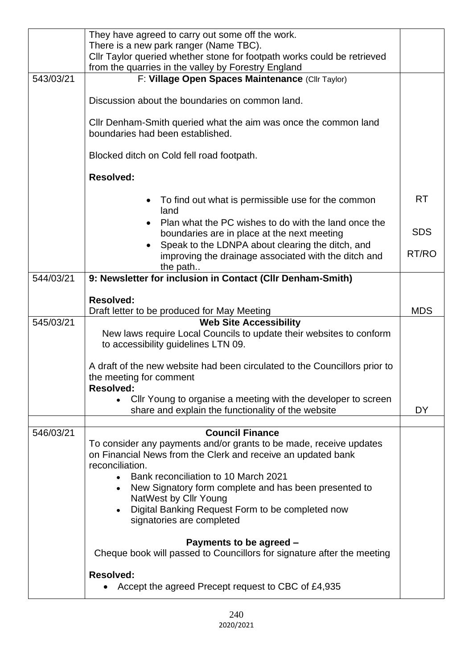|           | They have agreed to carry out some off the work.<br>There is a new park ranger (Name TBC).<br>Cllr Taylor queried whether stone for footpath works could be retrieved<br>from the quarries in the valley by Forestry England           |            |  |  |  |
|-----------|----------------------------------------------------------------------------------------------------------------------------------------------------------------------------------------------------------------------------------------|------------|--|--|--|
| 543/03/21 | F: Village Open Spaces Maintenance (Cllr Taylor)                                                                                                                                                                                       |            |  |  |  |
|           | Discussion about the boundaries on common land.                                                                                                                                                                                        |            |  |  |  |
|           | Cllr Denham-Smith queried what the aim was once the common land<br>boundaries had been established.                                                                                                                                    |            |  |  |  |
|           | Blocked ditch on Cold fell road footpath.                                                                                                                                                                                              |            |  |  |  |
|           | <b>Resolved:</b>                                                                                                                                                                                                                       |            |  |  |  |
|           | To find out what is permissible use for the common<br>land                                                                                                                                                                             | <b>RT</b>  |  |  |  |
|           | Plan what the PC wishes to do with the land once the<br>boundaries are in place at the next meeting                                                                                                                                    | <b>SDS</b> |  |  |  |
|           | Speak to the LDNPA about clearing the ditch, and<br>improving the drainage associated with the ditch and<br>the path                                                                                                                   | RT/RO      |  |  |  |
| 544/03/21 | 9: Newsletter for inclusion in Contact (CIIr Denham-Smith)                                                                                                                                                                             |            |  |  |  |
|           | <b>Resolved:</b><br>Draft letter to be produced for May Meeting                                                                                                                                                                        | <b>MDS</b> |  |  |  |
| 545/03/21 | <b>Web Site Accessibility</b>                                                                                                                                                                                                          |            |  |  |  |
|           | New laws require Local Councils to update their websites to conform<br>to accessibility guidelines LTN 09.                                                                                                                             |            |  |  |  |
|           | A draft of the new website had been circulated to the Councillors prior to<br>the meeting for comment<br><b>Resolved:</b>                                                                                                              |            |  |  |  |
|           | Cllr Young to organise a meeting with the developer to screen<br>share and explain the functionality of the website                                                                                                                    | DY         |  |  |  |
| 546/03/21 | <b>Council Finance</b>                                                                                                                                                                                                                 |            |  |  |  |
|           | To consider any payments and/or grants to be made, receive updates<br>on Financial News from the Clerk and receive an updated bank<br>reconciliation.                                                                                  |            |  |  |  |
|           | Bank reconciliation to 10 March 2021<br>$\bullet$<br>New Signatory form complete and has been presented to<br>$\bullet$<br>NatWest by Cllr Young<br>Digital Banking Request Form to be completed now<br>٠<br>signatories are completed |            |  |  |  |
|           | Payments to be agreed -<br>Cheque book will passed to Councillors for signature after the meeting                                                                                                                                      |            |  |  |  |
|           | <b>Resolved:</b><br>Accept the agreed Precept request to CBC of £4,935                                                                                                                                                                 |            |  |  |  |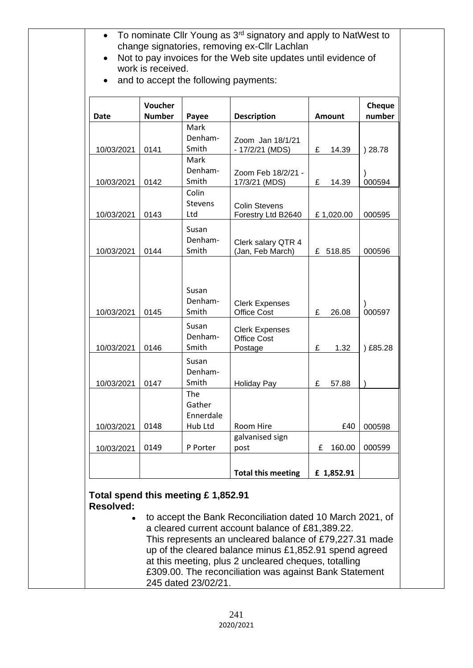| Date                          | Voucher<br><b>Number</b> | Payee                                                          | <b>Description</b>                                                                                            | <b>Amount</b> | Cheque<br>number |
|-------------------------------|--------------------------|----------------------------------------------------------------|---------------------------------------------------------------------------------------------------------------|---------------|------------------|
| 10/03/2021                    | 0141                     | Mark<br>Denham-<br>Smith                                       | Zoom Jan 18/1/21<br>- 17/2/21 (MDS)                                                                           | £<br>14.39    | ) 28.78          |
| 10/03/2021                    | 0142                     | Mark<br>Denham-<br>Smith                                       | Zoom Feb 18/2/21 -<br>17/3/21 (MDS)                                                                           | £<br>14.39    | 000594           |
| 10/03/2021                    | 0143                     | Colin<br><b>Stevens</b><br>Ltd                                 | <b>Colin Stevens</b><br>Forestry Ltd B2640                                                                    | £1,020.00     | 000595           |
| 10/03/2021                    | 0144                     | Susan<br>Denham-<br>Smith                                      | Clerk salary QTR 4<br>(Jan, Feb March)                                                                        | £ 518.85      | 000596           |
| 10/03/2021                    | 0145                     | Susan<br>Denham-<br>Smith<br>Susan                             | <b>Clerk Expenses</b><br><b>Office Cost</b><br><b>Clerk Expenses</b>                                          | £<br>26.08    | 000597           |
| 10/03/2021                    | 0146                     | Denham-<br>Smith                                               | <b>Office Cost</b><br>Postage                                                                                 | £<br>1.32     | £85.28           |
| 10/03/2021                    | 0147                     | Susan<br>Denham-<br>Smith<br><b>The</b><br>Gather<br>Ennerdale | <b>Holiday Pay</b>                                                                                            | £<br>57.88    |                  |
| 10/03/2021                    | 0148                     | Hub Ltd                                                        | Room Hire<br>galvanised sign                                                                                  | £40           | 000598           |
| 10/03/2021                    | 0149                     | P Porter                                                       | post                                                                                                          | 160.00<br>£   | 000599           |
|                               |                          |                                                                | <b>Total this meeting</b>                                                                                     | £ 1,852.91    |                  |
| <b>Resolved:</b><br>$\bullet$ |                          | Total spend this meeting £1,852.91                             | to accept the Bank Reconciliation dated 10 March 2021, of<br>a cleared current account balance of £81,389.22. |               |                  |